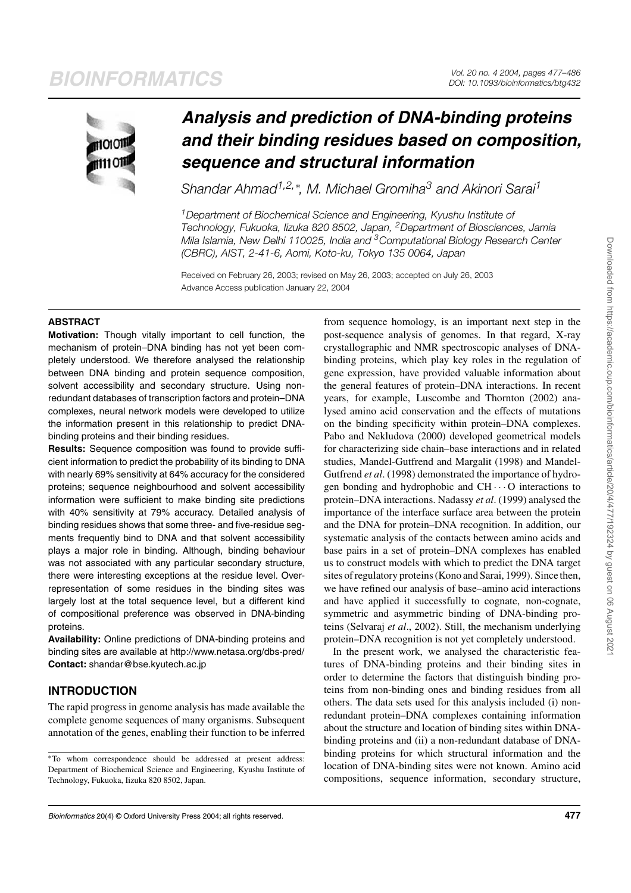

# **Analysis and prediction of DNA-binding proteins and their binding residues based on composition, sequence and structural information**

*Shandar Ahmad1,2,*<sup>∗</sup> *, M. Michael Gromiha<sup>3</sup> and Akinori Sarai<sup>1</sup>*

*<sup>1</sup>Department of Biochemical Science and Engineering, Kyushu Institute of Technology, Fukuoka, Iizuka 820 8502, Japan, <sup>2</sup>Department of Biosciences, Jamia Mila Islamia, New Delhi 110025, India and <sup>3</sup>Computational Biology Research Center (CBRC), AIST, 2-41-6, Aomi, Koto-ku, Tokyo 135 0064, Japan*

Received on February 26, 2003; revised on May 26, 2003; accepted on July 26, 2003 Advance Access publication January 22, 2004

#### **ABSTRACT**

**Motivation:** Though vitally important to cell function, the mechanism of protein–DNA binding has not yet been completely understood. We therefore analysed the relationship between DNA binding and protein sequence composition, solvent accessibility and secondary structure. Using nonredundant databases of transcription factors and protein–DNA complexes, neural network models were developed to utilize the information present in this relationship to predict DNAbinding proteins and their binding residues.

**Results:** Sequence composition was found to provide sufficient information to predict the probability of its binding to DNA with nearly 69% sensitivity at 64% accuracy for the considered proteins; sequence neighbourhood and solvent accessibility information were sufficient to make binding site predictions with 40% sensitivity at 79% accuracy. Detailed analysis of binding residues shows that some three- and five-residue segments frequently bind to DNA and that solvent accessibility plays a major role in binding. Although, binding behaviour was not associated with any particular secondary structure, there were interesting exceptions at the residue level. Overrepresentation of some residues in the binding sites was largely lost at the total sequence level, but a different kind of compositional preference was observed in DNA-binding proteins.

**Availability:** Online predictions of DNA-binding proteins and binding sites are available at http://www.netasa.org/dbs-pred/ **Contact:** shandar@bse.kyutech.ac.jp

# **INTRODUCTION**

The rapid progress in genome analysis has made available the complete genome sequences of many organisms. Subsequent annotation of the genes, enabling their function to be inferred

<sup>∗</sup>To whom correspondence should be addressed at present address: Department of Biochemical Science and Engineering, Kyushu Institute of Technology, Fukuoka, Iizuka 820 8502, Japan.

from sequence homology, is an important next step in the post-sequence analysis of genomes. In that regard, X-ray crystallographic and NMR spectroscopic analyses of DNAbinding proteins, which play key roles in the regulation of gene expression, have provided valuable information about the general features of protein–DNA interactions. In recent years, for example, Luscombe and Thornton (2002) analysed amino acid conservation and the effects of mutations on the binding specificity within protein–DNA complexes. Pabo and Nekludova (2000) developed geometrical models for characterizing side chain–base interactions and in related studies, Mandel-Gutfrend and Margalit (1998) and Mandel-Gutfrend *et al*. (1998) demonstrated the importance of hydrogen bonding and hydrophobic and  $CH \cdots$ O interactions to protein–DNA interactions. Nadassy *et al*. (1999) analysed the importance of the interface surface area between the protein and the DNA for protein–DNA recognition. In addition, our systematic analysis of the contacts between amino acids and base pairs in a set of protein–DNA complexes has enabled us to construct models with which to predict the DNA target sites of regulatory proteins (Kono and Sarai, 1999). Since then, we have refined our analysis of base–amino acid interactions and have applied it successfully to cognate, non-cognate, symmetric and asymmetric binding of DNA-binding proteins (Selvaraj *et al*., 2002). Still, the mechanism underlying protein–DNA recognition is not yet completely understood.

In the present work, we analysed the characteristic features of DNA-binding proteins and their binding sites in order to determine the factors that distinguish binding proteins from non-binding ones and binding residues from all others. The data sets used for this analysis included (i) nonredundant protein–DNA complexes containing information about the structure and location of binding sites within DNAbinding proteins and (ii) a non-redundant database of DNAbinding proteins for which structural information and the location of DNA-binding sites were not known. Amino acid compositions, sequence information, secondary structure,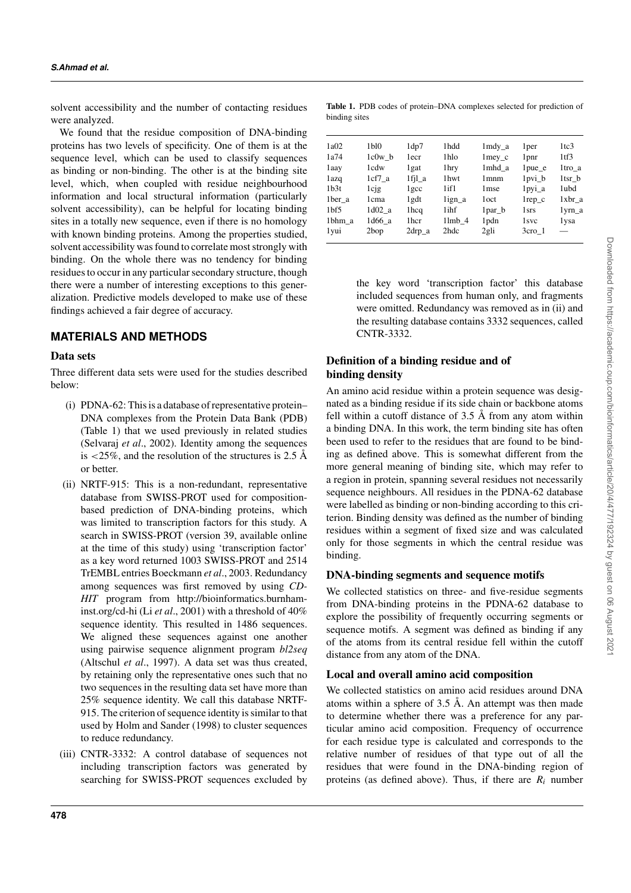solvent accessibility and the number of contacting residues were analyzed.

We found that the residue composition of DNA-binding proteins has two levels of specificity. One of them is at the sequence level, which can be used to classify sequences as binding or non-binding. The other is at the binding site level, which, when coupled with residue neighbourhood information and local structural information (particularly solvent accessibility), can be helpful for locating binding sites in a totally new sequence, even if there is no homology with known binding proteins. Among the properties studied, solvent accessibility was found to correlate most strongly with binding. On the whole there was no tendency for binding residues to occur in any particular secondary structure, though there were a number of interesting exceptions to this generalization. Predictive models developed to make use of these findings achieved a fair degree of accuracy.

## **MATERIALS AND METHODS**

#### **Data sets**

Three different data sets were used for the studies described below:

- (i) PDNA-62: This is a database of representative protein– DNA complexes from the Protein Data Bank (PDB) (Table 1) that we used previously in related studies (Selvaraj *et al*., 2002). Identity among the sequences is  $\langle 25\%, \text{ and the resolution of the structures is } 2.5 \text{ Å}$ or better.
- (ii) NRTF-915: This is a non-redundant, representative database from SWISS-PROT used for compositionbased prediction of DNA-binding proteins, which was limited to transcription factors for this study. A search in SWISS-PROT (version 39, available online at the time of this study) using 'transcription factor' as a key word returned 1003 SWISS-PROT and 2514 TrEMBL entries Boeckmann *et al*., 2003. Redundancy among sequences was first removed by using *CD-HIT* program from http://bioinformatics.burnhaminst.org/cd-hi (Li *et al*., 2001) with a threshold of 40% sequence identity. This resulted in 1486 sequences. We aligned these sequences against one another using pairwise sequence alignment program *bl2seq* (Altschul *et al*., 1997). A data set was thus created, by retaining only the representative ones such that no two sequences in the resulting data set have more than 25% sequence identity. We call this database NRTF-915. The criterion of sequence identity is similar to that used by Holm and Sander (1998) to cluster sequences to reduce redundancy.
- (iii) CNTR-3332: A control database of sequences not including transcription factors was generated by searching for SWISS-PROT sequences excluded by

**Table 1.** PDB codes of protein–DNA complexes selected for prediction of binding sites

| 1a02             | 1b <sub>10</sub> | 1dp7             | 1hdd     | $1$ mdy_a        | 1 per            | 1tc3   |
|------------------|------------------|------------------|----------|------------------|------------------|--------|
| 1a74             | $1c0w$ b         | 1ecr             | 1hlo     | $1$ mey c        | 1 <sub>pnr</sub> | 1tf3   |
| 1aay             | 1cdw             | 1gat             | 1hry     | 1mhd a           | $1$ pue $_e$     | 1tro_a |
| 1azq             | 1cf7a            | 1fil_a           | 1hwt     | 1mm              | 1pvi b           | 1tsr b |
| 1 <sub>b3t</sub> | $1$ cjg          | 1 gcc            | 1if1     | 1 <sub>mse</sub> | $1$ pyi_a        | 1ubd   |
| 1ber a           | 1 <sub>cma</sub> | $1$ gdt          | lign_a   | 1 oct            | $1rep_c$         | 1xbr a |
| 1 <sub>bf5</sub> | 1d02a            | 1 <sub>hcq</sub> | 1ihf     | $1par_b$         | 1srs             | 1yrn_a |
| 1bhm a           | 1d66 a           | 1hcr             | $11mb$ 4 | 1pdn             | 1svc             | 1ysa   |
| 1 yui            | 2bop             | $2$ drp_a        | 2hdc     | 2gli             | $3$ cro $1$      |        |
|                  |                  |                  |          |                  |                  |        |

the key word 'transcription factor' this database included sequences from human only, and fragments were omitted. Redundancy was removed as in (ii) and the resulting database contains 3332 sequences, called CNTR-3332.

## **Definition of a binding residue and of binding density**

An amino acid residue within a protein sequence was designated as a binding residue if its side chain or backbone atoms fell within a cutoff distance of 3.5 Å from any atom within a binding DNA. In this work, the term binding site has often been used to refer to the residues that are found to be binding as defined above. This is somewhat different from the more general meaning of binding site, which may refer to a region in protein, spanning several residues not necessarily sequence neighbours. All residues in the PDNA-62 database were labelled as binding or non-binding according to this criterion. Binding density was defined as the number of binding residues within a segment of fixed size and was calculated only for those segments in which the central residue was binding.

#### **DNA-binding segments and sequence motifs**

We collected statistics on three- and five-residue segments from DNA-binding proteins in the PDNA-62 database to explore the possibility of frequently occurring segments or sequence motifs. A segment was defined as binding if any of the atoms from its central residue fell within the cutoff distance from any atom of the DNA.

## **Local and overall amino acid composition**

We collected statistics on amino acid residues around DNA atoms within a sphere of 3.5 Å. An attempt was then made to determine whether there was a preference for any particular amino acid composition. Frequency of occurrence for each residue type is calculated and corresponds to the relative number of residues of that type out of all the residues that were found in the DNA-binding region of proteins (as defined above). Thus, if there are  $R_i$  number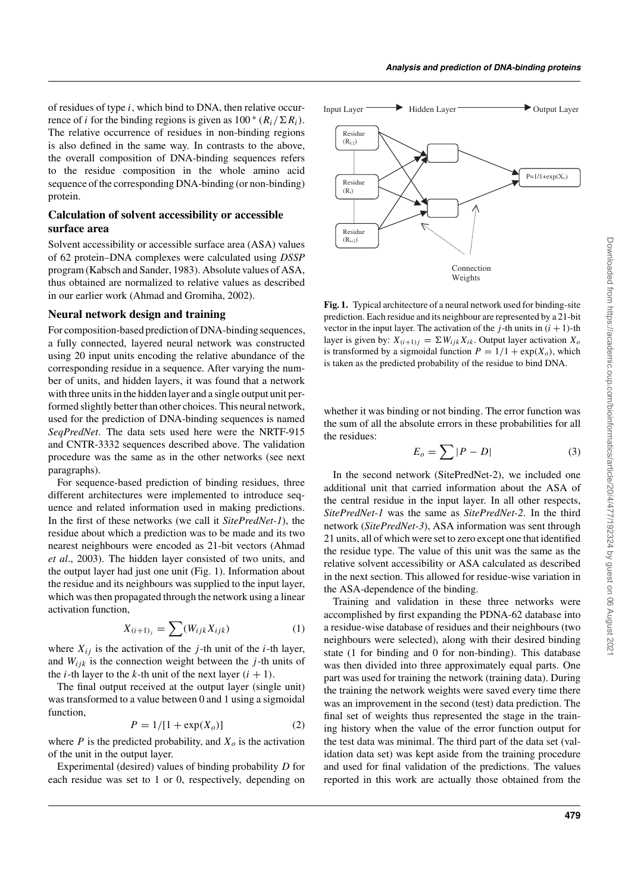of residues of type  $i$ , which bind to DNA, then relative occurrence of *i* for the binding regions is given as  $100^* (R_i/\Sigma R_i)$ . The relative occurrence of residues in non-binding regions is also defined in the same way. In contrasts to the above, the overall composition of DNA-binding sequences refers to the residue composition in the whole amino acid sequence of the corresponding DNA-binding (or non-binding) protein.

#### **Calculation of solvent accessibility or accessible surface area**

Solvent accessibility or accessible surface area (ASA) values of 62 protein–DNA complexes were calculated using *DSSP* program (Kabsch and Sander, 1983). Absolute values of ASA, thus obtained are normalized to relative values as described in our earlier work (Ahmad and Gromiha, 2002).

#### **Neural network design and training**

For composition-based prediction of DNA-binding sequences, a fully connected, layered neural network was constructed using 20 input units encoding the relative abundance of the corresponding residue in a sequence. After varying the number of units, and hidden layers, it was found that a network with three units in the hidden layer and a single output unit performed slightly better than other choices. This neural network, used for the prediction of DNA-binding sequences is named *SeqPredNet*. The data sets used here were the NRTF-915 and CNTR-3332 sequences described above. The validation procedure was the same as in the other networks (see next paragraphs).

For sequence-based prediction of binding residues, three different architectures were implemented to introduce sequence and related information used in making predictions. In the first of these networks (we call it *SitePredNet-1*), the residue about which a prediction was to be made and its two nearest neighbours were encoded as 21-bit vectors (Ahmad *et al*., 2003). The hidden layer consisted of two units, and the output layer had just one unit (Fig. 1). Information about the residue and its neighbours was supplied to the input layer, which was then propagated through the network using a linear activation function,

$$
X_{(i+1)_j} = \sum (W_{ijk} X_{ijk})
$$
 (1)

where  $X_{ij}$  is the activation of the j-th unit of the *i*-th layer, and  $W_{ijk}$  is the connection weight between the j-th units of the *i*-th layer to the *k*-th unit of the next layer  $(i + 1)$ .

The final output received at the output layer (single unit) was transformed to a value between 0 and 1 using a sigmoidal function,

$$
P = 1/[1 + \exp(X_o)] \tag{2}
$$

where  $P$  is the predicted probability, and  $X_o$  is the activation of the unit in the output layer.

Experimental (desired) values of binding probability D for each residue was set to 1 or 0, respectively, depending on



**Fig. 1.** Typical architecture of a neural network used for binding-site prediction. Each residue and its neighbour are represented by a 21-bit vector in the input layer. The activation of the  $j$ -th units in  $(i + 1)$ -th layer is given by:  $X_{(i+1)j} = \sum W_{ijk}X_{ik}$ . Output layer activation  $X_o$ is transformed by a sigmoidal function  $P = 1/1 + \exp(X_o)$ , which is taken as the predicted probability of the residue to bind DNA.

whether it was binding or not binding. The error function was the sum of all the absolute errors in these probabilities for all the residues:

$$
E_o = \sum |P - D| \tag{3}
$$

In the second network (SitePredNet-2), we included one additional unit that carried information about the ASA of the central residue in the input layer. In all other respects, *SitePredNet-1* was the same as *SitePredNet-2*. In the third network (*SitePredNet-3*), ASA information was sent through 21 units, all of which were set to zero except one that identified the residue type. The value of this unit was the same as the relative solvent accessibility or ASA calculated as described in the next section. This allowed for residue-wise variation in the ASA-dependence of the binding.

Training and validation in these three networks were accomplished by first expanding the PDNA-62 database into a residue-wise database of residues and their neighbours (two neighbours were selected), along with their desired binding state (1 for binding and 0 for non-binding). This database was then divided into three approximately equal parts. One part was used for training the network (training data). During the training the network weights were saved every time there was an improvement in the second (test) data prediction. The final set of weights thus represented the stage in the training history when the value of the error function output for the test data was minimal. The third part of the data set (validation data set) was kept aside from the training procedure and used for final validation of the predictions. The values reported in this work are actually those obtained from the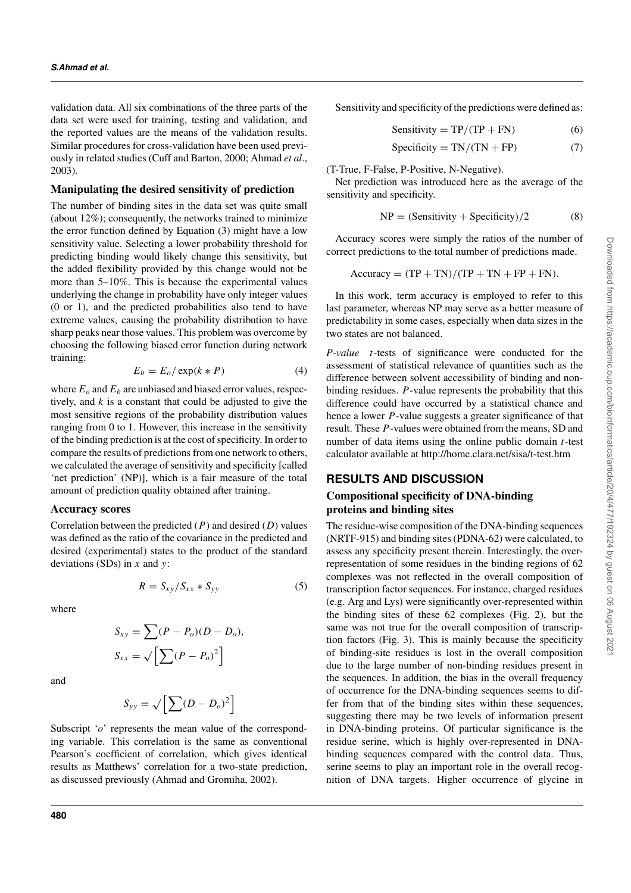validation data. All six combinations of the three parts of the data set were used for training, testing and validation, and the reported values are the means of the validation results. Similar procedures for cross-validation have been used previously in related studies (Cuff and Barton, 2000; Ahmad *et al*., 2003).

#### **Manipulating the desired sensitivity of prediction**

The number of binding sites in the data set was quite small (about 12%); consequently, the networks trained to minimize the error function defined by Equation (3) might have a low sensitivity value. Selecting a lower probability threshold for predicting binding would likely change this sensitivity, but the added flexibility provided by this change would not be more than 5–10%. This is because the experimental values underlying the change in probability have only integer values (0 or 1), and the predicted probabilities also tend to have extreme values, causing the probability distribution to have sharp peaks near those values. This problem was overcome by choosing the following biased error function during network training:

$$
E_b = E_o / \exp(k * P)
$$
 (4)

where  $E_0$  and  $E_b$  are unbiased and biased error values, respectively, and  $k$  is a constant that could be adjusted to give the most sensitive regions of the probability distribution values ranging from 0 to 1. However, this increase in the sensitivity of the binding prediction is at the cost of specificity. In order to compare the results of predictions from one network to others, we calculated the average of sensitivity and specificity [called 'net prediction' (NP)], which is a fair measure of the total amount of prediction quality obtained after training.

#### **Accuracy scores**

Correlation between the predicted  $(P)$  and desired  $(D)$  values was defined as the ratio of the covariance in the predicted and desired (experimental) states to the product of the standard deviations (SDs) in  $x$  and  $y$ :

$$
R = S_{xy}/S_{xx} * S_{yy} \tag{5}
$$

where

$$
S_{xy} = \sum (P - P_o)(D - D_o),
$$
  

$$
S_{xx} = \sqrt{\left[\sum (P - P_o)^2\right]}
$$

and

$$
S_{yy} = \sqrt{\left[\sum (D - D_o)^2\right]}
$$

Subscript 'o' represents the mean value of the corresponding variable. This correlation is the same as conventional Pearson's coefficient of correlation, which gives identical results as Matthews' correlation for a two-state prediction, as discussed previously (Ahmad and Gromiha, 2002).

Sensitivity and specificity of the predictions were defined as:

$$
Sensitivity = TP/(TP + FN)
$$
 (6)

$$
Specificity = TN/(TN + FP)
$$
 (7)

(T-True, F-False, P-Positive, N-Negative).

Net prediction was introduced here as the average of the sensitivity and specificity.

$$
NP = (Sensitivity + Specificity)/2 \tag{8}
$$

Accuracy scores were simply the ratios of the number of correct predictions to the total number of predictions made.

 $Accuracy = (TP + TN)/(TP + TN + FP + FN).$ 

In this work, term accuracy is employed to refer to this last parameter, whereas NP may serve as a better measure of predictability in some cases, especially when data sizes in the two states are not balanced.

*P-value* t-tests of significance were conducted for the assessment of statistical relevance of quantities such as the difference between solvent accessibility of binding and nonbinding residues. P-value represents the probability that this difference could have occurred by a statistical chance and hence a lower *P*-value suggests a greater significance of that result. These P-values were obtained from the means, SD and number of data items using the online public domain  $t$ -test calculator available at http://home.clara.net/sisa/t-test.htm

#### **RESULTS AND DISCUSSION**

## **Compositional specificity of DNA-binding proteins and binding sites**

The residue-wise composition of the DNA-binding sequences (NRTF-915) and binding sites (PDNA-62) were calculated, to assess any specificity present therein. Interestingly, the overrepresentation of some residues in the binding regions of 62 complexes was not reflected in the overall composition of transcription factor sequences. For instance, charged residues (e.g. Arg and Lys) were significantly over-represented within the binding sites of these 62 complexes (Fig. 2), but the same was not true for the overall composition of transcription factors (Fig. 3). This is mainly because the specificity of binding-site residues is lost in the overall composition due to the large number of non-binding residues present in the sequences. In addition, the bias in the overall frequency of occurrence for the DNA-binding sequences seems to differ from that of the binding sites within these sequences, suggesting there may be two levels of information present in DNA-binding proteins. Of particular significance is the residue serine, which is highly over-represented in DNAbinding sequences compared with the control data. Thus, serine seems to play an important role in the overall recognition of DNA targets. Higher occurrence of glycine in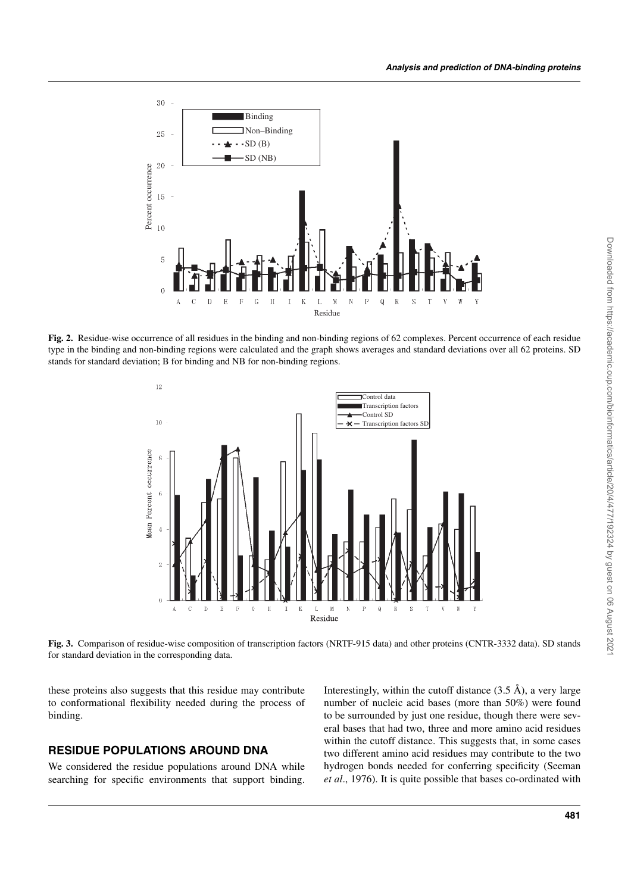

**Fig. 2.** Residue-wise occurrence of all residues in the binding and non-binding regions of 62 complexes. Percent occurrence of each residue type in the binding and non-binding regions were calculated and the graph shows averages and standard deviations over all 62 proteins. SD stands for standard deviation; B for binding and NB for non-binding regions.



**Fig. 3.** Comparison of residue-wise composition of transcription factors (NRTF-915 data) and other proteins (CNTR-3332 data). SD stands for standard deviation in the corresponding data.

these proteins also suggests that this residue may contribute to conformational flexibility needed during the process of binding.

## **RESIDUE POPULATIONS AROUND DNA**

We considered the residue populations around DNA while searching for specific environments that support binding.

Interestingly, within the cutoff distance  $(3.5 \text{ Å})$ , a very large number of nucleic acid bases (more than 50%) were found to be surrounded by just one residue, though there were several bases that had two, three and more amino acid residues within the cutoff distance. This suggests that, in some cases two different amino acid residues may contribute to the two hydrogen bonds needed for conferring specificity (Seeman *et al*., 1976). It is quite possible that bases co-ordinated with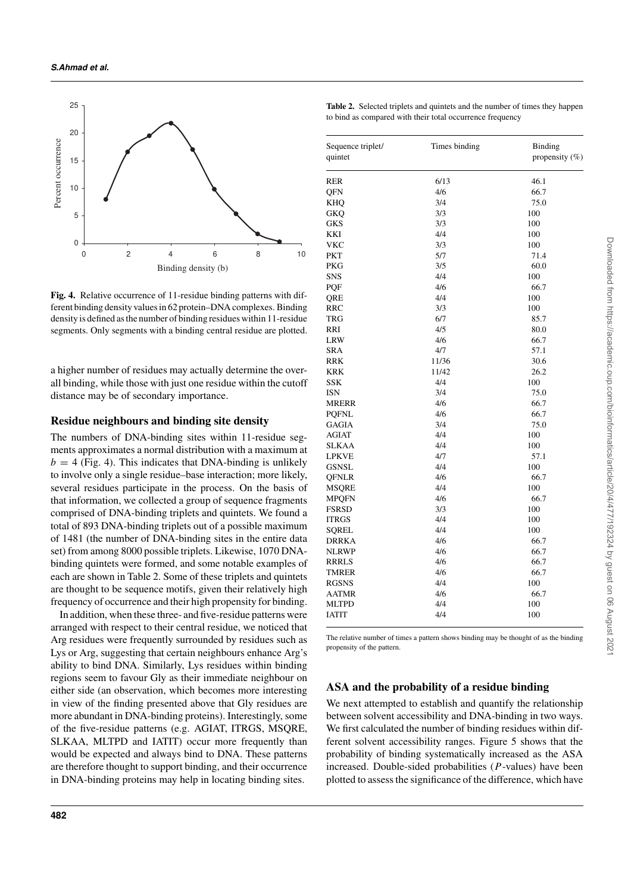

**Fig. 4.** Relative occurrence of 11-residue binding patterns with different binding density values in 62 protein–DNA complexes. Binding density is defined as the number of binding residues within 11-residue segments. Only segments with a binding central residue are plotted.

a higher number of residues may actually determine the overall binding, while those with just one residue within the cutoff distance may be of secondary importance.

#### **Residue neighbours and binding site density**

The numbers of DNA-binding sites within 11-residue segments approximates a normal distribution with a maximum at  $b = 4$  (Fig. 4). This indicates that DNA-binding is unlikely to involve only a single residue–base interaction; more likely, several residues participate in the process. On the basis of that information, we collected a group of sequence fragments comprised of DNA-binding triplets and quintets. We found a total of 893 DNA-binding triplets out of a possible maximum of 1481 (the number of DNA-binding sites in the entire data set) from among 8000 possible triplets. Likewise, 1070 DNAbinding quintets were formed, and some notable examples of each are shown in Table 2. Some of these triplets and quintets are thought to be sequence motifs, given their relatively high frequency of occurrence and their high propensity for binding.

In addition, when these three- and five-residue patterns were arranged with respect to their central residue, we noticed that Arg residues were frequently surrounded by residues such as Lys or Arg, suggesting that certain neighbours enhance Arg's ability to bind DNA. Similarly, Lys residues within binding regions seem to favour Gly as their immediate neighbour on either side (an observation, which becomes more interesting in view of the finding presented above that Gly residues are more abundant in DNA-binding proteins). Interestingly, some of the five-residue patterns (e.g. AGIAT, ITRGS, MSQRE, SLKAA, MLTPD and IATIT) occur more frequently than would be expected and always bind to DNA. These patterns are therefore thought to support binding, and their occurrence in DNA-binding proteins may help in locating binding sites.

| Sequence triplet/<br>quintet | Times binding | Binding<br>propensity $(\%)$ |  |
|------------------------------|---------------|------------------------------|--|
| RER                          | 6/13          | 46.1                         |  |
| QFN                          | 4/6           | 66.7                         |  |
| KHQ                          | 3/4           | 75.0                         |  |
| GKQ                          | 3/3           | 100                          |  |
| <b>GKS</b>                   | 3/3           | 100                          |  |
| <b>KKI</b>                   | 4/4           | 100                          |  |
| <b>VKC</b>                   | 3/3           | 100                          |  |
| <b>PKT</b>                   | 5/7           | 71.4                         |  |
| PKG                          | 3/5           | 60.0                         |  |
| SNS                          | 4/4           | 100                          |  |
| PQF                          | 4/6           | 66.7                         |  |
| QRE                          | 4/4           | 100                          |  |
| RRC                          | 3/3           | 100                          |  |
| TRG                          | 6/7           | 85.7                         |  |
| RRI                          | 4/5           | 80.0                         |  |
| <b>LRW</b>                   | 4/6           | 66.7                         |  |
| <b>SRA</b>                   | 4/7           | 57.1                         |  |
| <b>RRK</b>                   | 11/36         | 30.6                         |  |
| <b>KRK</b>                   | 11/42         | 26.2                         |  |
| <b>SSK</b>                   | 4/4           | 100                          |  |
| ISN                          | 3/4           | 75.0                         |  |
| <b>MRERR</b>                 | 4/6           | 66.7                         |  |
| <b>POFNL</b>                 | 4/6           | 66.7                         |  |
| <b>GAGIA</b>                 | 3/4           | 75.0                         |  |
| AGIAT                        | 4/4           | 100                          |  |
| SLKAA                        | 4/4           | 100                          |  |
| LPKVE                        | 4/7           | 57.1                         |  |
| GSNSL                        | 4/4           | 100                          |  |
| <b>QFNLR</b>                 | 4/6           | 66.7                         |  |
| <b>MSQRE</b>                 | 4/4           | 100                          |  |
| <b>MPQFN</b>                 | 4/6           | 66.7                         |  |
| <b>FSRSD</b>                 | 3/3           | 100                          |  |
| <b>ITRGS</b>                 | 4/4           | 100                          |  |
| SQREL                        | 4/4           | 100                          |  |
| <b>DRRKA</b>                 | 4/6           | 66.7                         |  |
| <b>NLRWP</b>                 | 4/6           | 66.7                         |  |
| <b>RRRLS</b>                 | 4/6           | 66.7                         |  |
| TMRER                        | 4/6           | 66.7                         |  |
| <b>RGSNS</b>                 | 4/4           | 100                          |  |
| <b>AATMR</b>                 | 4/6           | 66.7                         |  |
| <b>MLTPD</b>                 | 4/4           | 100                          |  |
| <b>IATIT</b>                 | 4/4           | 100                          |  |
|                              |               |                              |  |

**Table 2.** Selected triplets and quintets and the number of times they happen

to bind as compared with their total occurrence frequency

The relative number of times a pattern shows binding may be thought of as the binding propensity of the pattern.

## **ASA and the probability of a residue binding**

We next attempted to establish and quantify the relationship between solvent accessibility and DNA-binding in two ways. We first calculated the number of binding residues within different solvent accessibility ranges. Figure 5 shows that the probability of binding systematically increased as the ASA increased. Double-sided probabilities (P-values) have been plotted to assess the significance of the difference, which have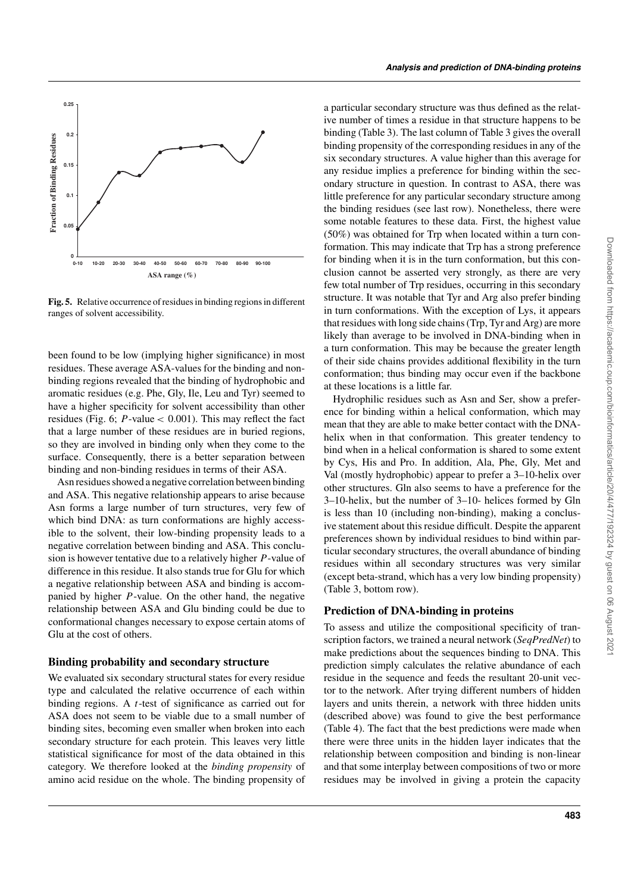

**Fig. 5.** Relative occurrence of residues in binding regions in different ranges of solvent accessibility.

been found to be low (implying higher significance) in most residues. These average ASA-values for the binding and nonbinding regions revealed that the binding of hydrophobic and aromatic residues (e.g. Phe, Gly, Ile, Leu and Tyr) seemed to have a higher specificity for solvent accessibility than other residues (Fig. 6;  $P$ -value  $< 0.001$ ). This may reflect the fact that a large number of these residues are in buried regions, so they are involved in binding only when they come to the surface. Consequently, there is a better separation between binding and non-binding residues in terms of their ASA.

Asn residues showed a negative correlation between binding and ASA. This negative relationship appears to arise because Asn forms a large number of turn structures, very few of which bind DNA: as turn conformations are highly accessible to the solvent, their low-binding propensity leads to a negative correlation between binding and ASA. This conclusion is however tentative due to a relatively higher P-value of difference in this residue. It also stands true for Glu for which a negative relationship between ASA and binding is accompanied by higher P-value. On the other hand, the negative relationship between ASA and Glu binding could be due to conformational changes necessary to expose certain atoms of Glu at the cost of others.

#### **Binding probability and secondary structure**

We evaluated six secondary structural states for every residue type and calculated the relative occurrence of each within binding regions. A t-test of significance as carried out for ASA does not seem to be viable due to a small number of binding sites, becoming even smaller when broken into each secondary structure for each protein. This leaves very little statistical significance for most of the data obtained in this category. We therefore looked at the *binding propensity* of amino acid residue on the whole. The binding propensity of a particular secondary structure was thus defined as the relative number of times a residue in that structure happens to be binding (Table 3). The last column of Table 3 gives the overall binding propensity of the corresponding residues in any of the six secondary structures. A value higher than this average for any residue implies a preference for binding within the secondary structure in question. In contrast to ASA, there was little preference for any particular secondary structure among the binding residues (see last row). Nonetheless, there were some notable features to these data. First, the highest value (50%) was obtained for Trp when located within a turn conformation. This may indicate that Trp has a strong preference for binding when it is in the turn conformation, but this conclusion cannot be asserted very strongly, as there are very few total number of Trp residues, occurring in this secondary structure. It was notable that Tyr and Arg also prefer binding in turn conformations. With the exception of Lys, it appears that residues with long side chains (Trp, Tyr and Arg) are more likely than average to be involved in DNA-binding when in a turn conformation. This may be because the greater length of their side chains provides additional flexibility in the turn conformation; thus binding may occur even if the backbone at these locations is a little far.

Hydrophilic residues such as Asn and Ser, show a preference for binding within a helical conformation, which may mean that they are able to make better contact with the DNAhelix when in that conformation. This greater tendency to bind when in a helical conformation is shared to some extent by Cys, His and Pro. In addition, Ala, Phe, Gly, Met and Val (mostly hydrophobic) appear to prefer a 3–10-helix over other structures. Gln also seems to have a preference for the 3–10-helix, but the number of 3–10- helices formed by Gln is less than 10 (including non-binding), making a conclusive statement about this residue difficult. Despite the apparent preferences shown by individual residues to bind within particular secondary structures, the overall abundance of binding residues within all secondary structures was very similar (except beta-strand, which has a very low binding propensity) (Table 3, bottom row).

#### **Prediction of DNA-binding in proteins**

To assess and utilize the compositional specificity of transcription factors, we trained a neural network (*SeqPredNet*) to make predictions about the sequences binding to DNA. This prediction simply calculates the relative abundance of each residue in the sequence and feeds the resultant 20-unit vector to the network. After trying different numbers of hidden layers and units therein, a network with three hidden units (described above) was found to give the best performance (Table 4). The fact that the best predictions were made when there were three units in the hidden layer indicates that the relationship between composition and binding is non-linear and that some interplay between compositions of two or more residues may be involved in giving a protein the capacity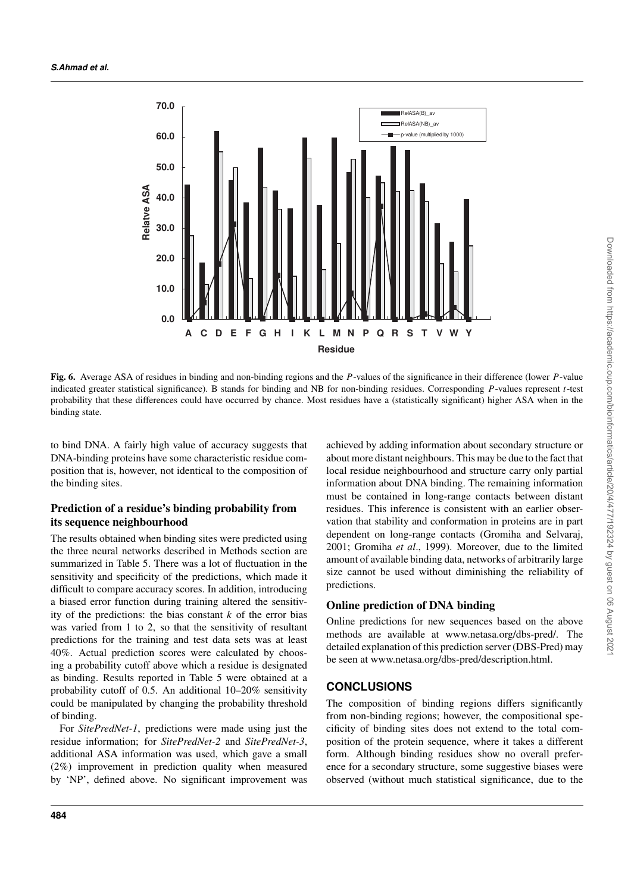

**Fig. 6.** Average ASA of residues in binding and non-binding regions and the P-values of the significance in their difference (lower P-value indicated greater statistical significance). B stands for binding and NB for non-binding residues. Corresponding P-values represent t-test probability that these differences could have occurred by chance. Most residues have a (statistically significant) higher ASA when in the binding state.

to bind DNA. A fairly high value of accuracy suggests that DNA-binding proteins have some characteristic residue composition that is, however, not identical to the composition of the binding sites.

## **Prediction of a residue's binding probability from its sequence neighbourhood**

The results obtained when binding sites were predicted using the three neural networks described in Methods section are summarized in Table 5. There was a lot of fluctuation in the sensitivity and specificity of the predictions, which made it difficult to compare accuracy scores. In addition, introducing a biased error function during training altered the sensitivity of the predictions: the bias constant  $k$  of the error bias was varied from 1 to 2, so that the sensitivity of resultant predictions for the training and test data sets was at least 40%. Actual prediction scores were calculated by choosing a probability cutoff above which a residue is designated as binding. Results reported in Table 5 were obtained at a probability cutoff of 0.5. An additional 10–20% sensitivity could be manipulated by changing the probability threshold of binding.

For *SitePredNet-1*, predictions were made using just the residue information; for *SitePredNet-2* and *SitePredNet-3*, additional ASA information was used, which gave a small (2%) improvement in prediction quality when measured by 'NP', defined above. No significant improvement was

achieved by adding information about secondary structure or about more distant neighbours. This may be due to the fact that local residue neighbourhood and structure carry only partial information about DNA binding. The remaining information must be contained in long-range contacts between distant residues. This inference is consistent with an earlier observation that stability and conformation in proteins are in part dependent on long-range contacts (Gromiha and Selvaraj, 2001; Gromiha *et al*., 1999). Moreover, due to the limited amount of available binding data, networks of arbitrarily large size cannot be used without diminishing the reliability of predictions.

## **Online prediction of DNA binding**

Online predictions for new sequences based on the above methods are available at www.netasa.org/dbs-pred/. The detailed explanation of this prediction server (DBS-Pred) may be seen at www.netasa.org/dbs-pred/description.html.

# **CONCLUSIONS**

The composition of binding regions differs significantly from non-binding regions; however, the compositional specificity of binding sites does not extend to the total composition of the protein sequence, where it takes a different form. Although binding residues show no overall preference for a secondary structure, some suggestive biases were observed (without much statistical significance, due to the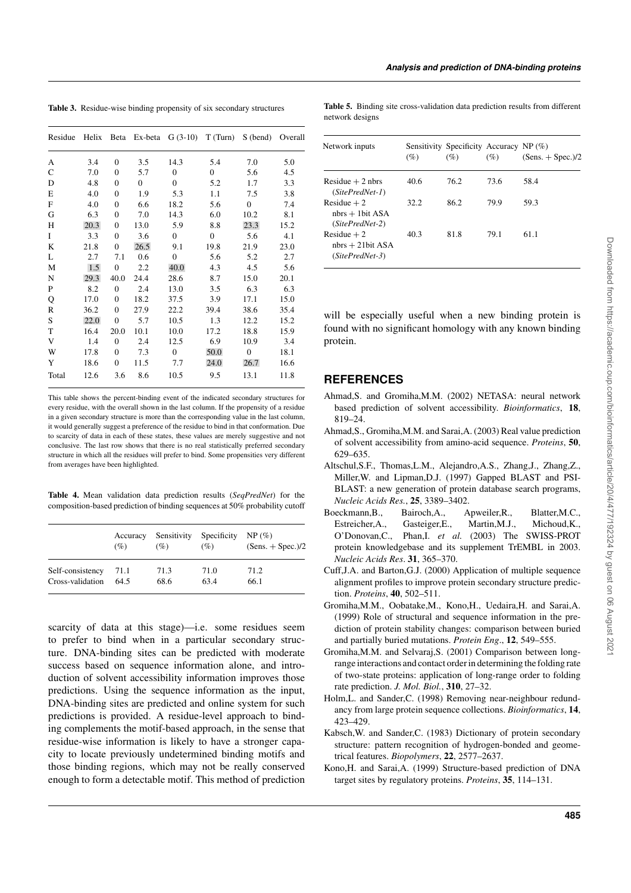| Residue |      |              |                |              | Helix Beta Ex-beta $G(3-10)$ T (Turn) S (bend) Overall |                  |      |
|---------|------|--------------|----------------|--------------|--------------------------------------------------------|------------------|------|
| A       | 3.4  | $\Omega$     | 3.5            | 14.3         | 5.4                                                    | 7.0              | 5.0  |
| C       | 7.0  | $\mathbf{0}$ | 5.7            | $\mathbf{0}$ | $\overline{0}$                                         | 5.6              | 4.5  |
| D       | 4.8  | $\mathbf{0}$ | $\overline{0}$ | $\Omega$     | 5.2                                                    | 1.7              | 3.3  |
| E       | 4.0  | $\mathbf{0}$ | 1.9            | 5.3          | 1.1                                                    | 7.5              | 3.8  |
| F       | 4.0  | $\mathbf{0}$ | 6.6            | 18.2         | 5.6                                                    | $\mathbf{0}$     | 7.4  |
| G       | 6.3  | $\mathbf{0}$ | 7.0            | 14.3         | 6.0                                                    | 10.2             | 8.1  |
| Η       | 20.3 | $\Omega$     | 13.0           | 5.9          | 8.8                                                    | 23.3             | 15.2 |
| I       | 3.3  | $\Omega$     | 3.6            | $\Omega$     | $\boldsymbol{0}$                                       | 5.6              | 4.1  |
| K       | 21.8 | $\mathbf{0}$ | 26.5           | 9.1          | 19.8                                                   | 21.9             | 23.0 |
| L       | 2.7  | 7.1          | 0.6            | 0            | 5.6                                                    | 5.2              | 2.7  |
| M       | 1.5  | $\mathbf{0}$ | 2.2            | 40.0         | 4.3                                                    | 4.5              | 5.6  |
| N       | 29.3 | 40.0         | 24.4           | 28.6         | 8.7                                                    | 15.0             | 20.1 |
| P       | 8.2  | $\mathbf{0}$ | 2.4            | 13.0         | 3.5                                                    | 6.3              | 6.3  |
| Q       | 17.0 | $\mathbf{0}$ | 18.2           | 37.5         | 3.9                                                    | 17.1             | 15.0 |
| R       | 36.2 | $\mathbf{0}$ | 27.9           | 22.2         | 39.4                                                   | 38.6             | 35.4 |
| S       | 22.0 | $\mathbf{0}$ | 5.7            | 10.5         | 1.3                                                    | 12.2             | 15.2 |
| T       | 16.4 | 20.0         | 10.1           | 10.0         | 17.2                                                   | 18.8             | 15.9 |
| V       | 1.4  | $\Omega$     | 2.4            | 12.5         | 6.9                                                    | 10.9             | 3.4  |
| W       | 17.8 | $\mathbf{0}$ | 7.3            | $\mathbf{0}$ | 50.0                                                   | $\boldsymbol{0}$ | 18.1 |
| Y       | 18.6 | $\mathbf{0}$ | 11.5           | 7.7          | 24.0                                                   | 26.7             | 16.6 |
| Total   | 12.6 | 3.6          | 8.6            | 10.5         | 9.5                                                    | 13.1             | 11.8 |

**Table 3.** Residue-wise binding propensity of six secondary structures

**Table 5.** Binding site cross-validation data prediction results from different network designs

| Network inputs                                           | (%)  | Sensitivity Specificity Accuracy NP (%)<br>(%) | $(\%)$ | $(Sens. + Spec.)/2$ |
|----------------------------------------------------------|------|------------------------------------------------|--------|---------------------|
| Residue $+2$ nbrs<br>$(SitePredNet-1)$                   | 40.6 | 76.2                                           | 73.6   | 58.4                |
| $Residue + 2$<br>$nbrs + 1bitASA$<br>$(SitePredNet-2)$   | 32.2 | 86.2                                           | 79.9   | 59.3                |
| $Residue + 2$<br>$nbrs + 21bit ASA$<br>$(SitePredNet-3)$ | 40.3 | 81.8                                           | 79.1   | 61.1                |

will be especially useful when a new binding protein is found with no significant homology with any known binding protein.

# **REFERENCES**

- Ahmad,S. and Gromiha,M.M. (2002) NETASA: neural network based prediction of solvent accessibility. *Bioinformatics*, **18**, 819–24.
- Ahmad,S., Gromiha,M.M. and Sarai,A. (2003) Real value prediction of solvent accessibility from amino-acid sequence. *Proteins*, **50**, 629–635.
- Altschul,S.F., Thomas,L.M., Alejandro,A.S., Zhang,J., Zhang,Z., Miller,W. and Lipman,D.J. (1997) Gapped BLAST and PSI-BLAST: a new generation of protein database search programs, *Nucleic Acids Res.*, **25**, 3389–3402.
- Boeckmann,B., Bairoch,A., Apweiler,R., Blatter,M.C., Estreicher,A., Gasteiger,E., Martin,M.J., Michoud,K., O'Donovan,C., Phan,I. *et al.* (2003) The SWISS-PROT protein knowledgebase and its supplement TrEMBL in 2003. *Nucleic Acids Res*. **31**, 365–370.
- Cuff,J.A. and Barton,G.J. (2000) Application of multiple sequence alignment profiles to improve protein secondary structure prediction. *Proteins*, **40**, 502–511.
- Gromiha,M.M., Oobatake,M., Kono,H., Uedaira,H. and Sarai,A. (1999) Role of structural and sequence information in the prediction of protein stability changes: comparison between buried and partially buried mutations. *Protein Eng*., **12**, 549–555.
- Gromiha,M.M. and Selvaraj,S. (2001) Comparison between longrange interactions and contact order in determining the folding rate of two-state proteins: application of long-range order to folding rate prediction. *J. Mol. Biol.*, **310**, 27–32.
- Holm,L. and Sander,C. (1998) Removing near-neighbour redundancy from large protein sequence collections. *Bioinformatics*, **14**, 423–429.
- Kabsch,W. and Sander,C. (1983) Dictionary of protein secondary structure: pattern recognition of hydrogen-bonded and geometrical features. *Biopolymers*, **22**, 2577–2637.
- Kono,H. and Sarai,A. (1999) Structure-based prediction of DNA target sites by regulatory proteins. *Proteins*, **35**, 114–131.

This table shows the percent-binding event of the indicated secondary structures for every residue, with the overall shown in the last column. If the propensity of a residue in a given secondary structure is more than the corresponding value in the last column, it would generally suggest a preference of the residue to bind in that conformation. Due to scarcity of data in each of these states, these values are merely suggestive and not conclusive. The last row shows that there is no real statistically preferred secondary structure in which all the residues will prefer to bind. Some propensities very different from averages have been highlighted.

**Table 4.** Mean validation data prediction results (*SeqPredNet*) for the composition-based prediction of binding sequences at 50% probability cutoff

|                  | Accuracy | Sensitivity | Specificity | $NP(\%)$            |
|------------------|----------|-------------|-------------|---------------------|
|                  | (%)      | (%)         | (%)         | $(Sens. + Spec.)/2$ |
| Self-consistency | 71.1     | 71.3        | 71.0        | 71.2                |
| Cross-validation | 64.5     | 68.6        | 63.4        | 66.1                |

scarcity of data at this stage)—i.e. some residues seem to prefer to bind when in a particular secondary structure. DNA-binding sites can be predicted with moderate success based on sequence information alone, and introduction of solvent accessibility information improves those predictions. Using the sequence information as the input, DNA-binding sites are predicted and online system for such predictions is provided. A residue-level approach to binding complements the motif-based approach, in the sense that residue-wise information is likely to have a stronger capacity to locate previously undetermined binding motifs and those binding regions, which may not be really conserved enough to form a detectable motif. This method of prediction